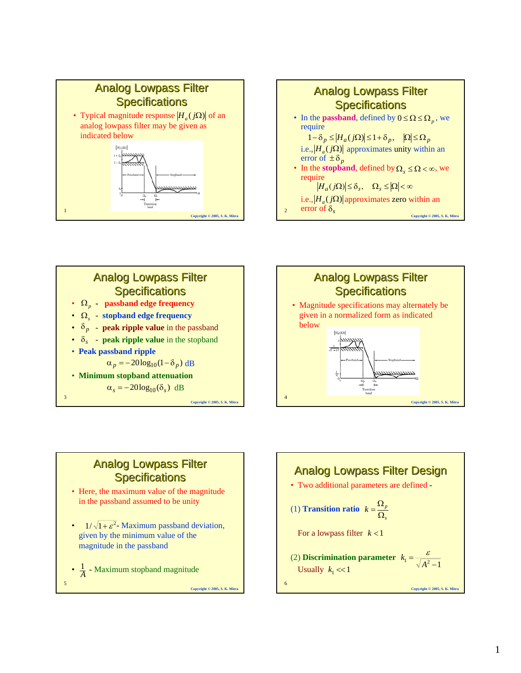







# **Analog Lowpass Filter Specifications**



- $1/\sqrt{1+\epsilon^2}$  Maximum passband deviation, given by the minimum value of the magnitude in the passband
- 5 **Copyright © 2005, S. K. Mitra** •  $\frac{1}{A}$  - Maximum stopband magnitude 1

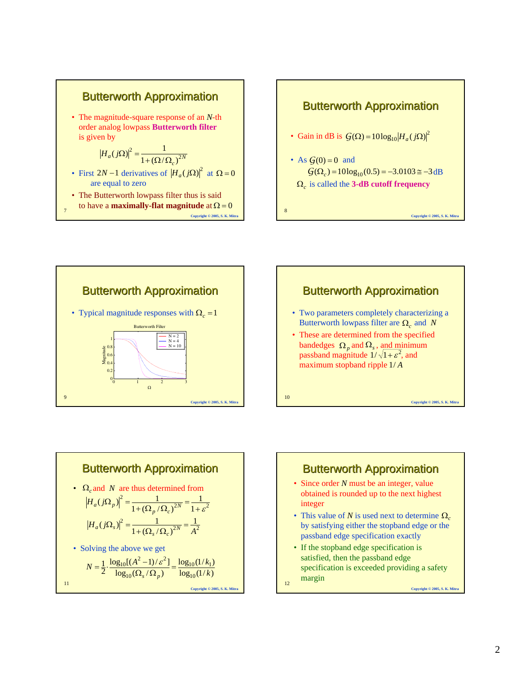









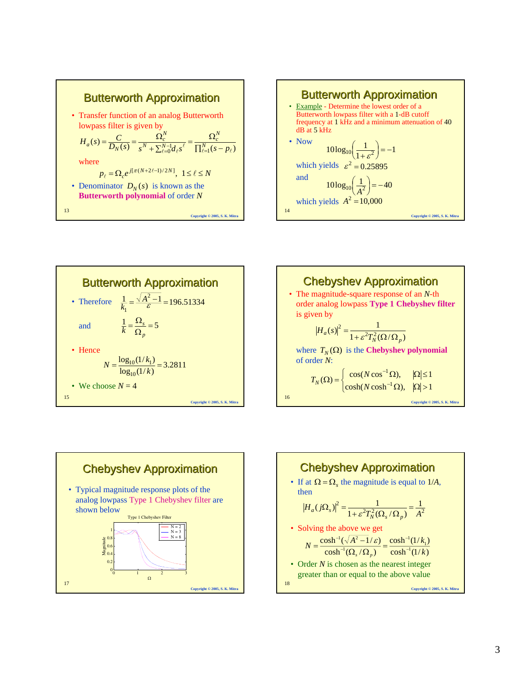









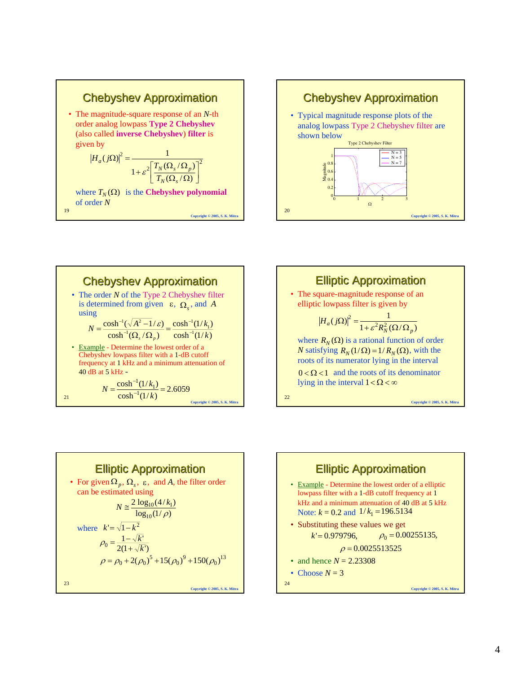









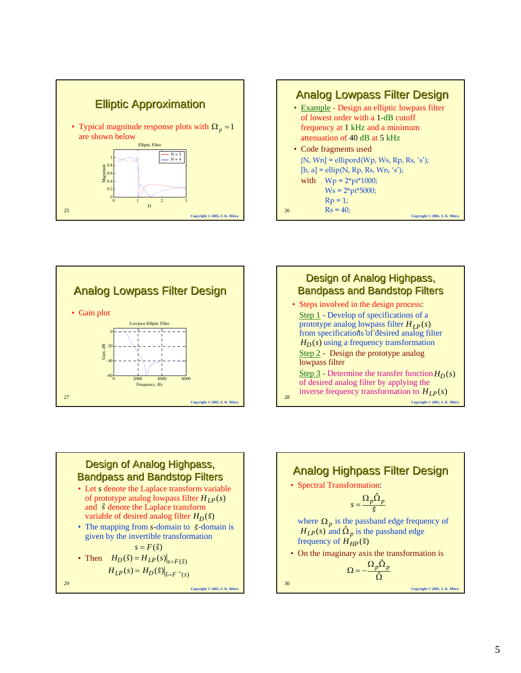







#### Design of Analog Highpass, **Bandpass and Bandstop Filters**

- Let *s* denote the Laplace transform variable of prototype analog lowpass filter  $H_{LP}(s)$ and  $\hat{s}$  denote the Laplace transform variable of desired analog filter  $H_D(\hat{s})$
- The mapping from *s*-domain to  $\hat{s}$ -domain is given by the invertible transformation

• Then 
$$
H_D(\hat{s}) = H_{LP}(s)|_{s=F(\hat{s})}
$$
  
\n $H_{LP}(s) = H_D(\hat{s})|_{s=F^{-1}(s)}$ 

29

**Copyright © 2005, S. K. Mitra**

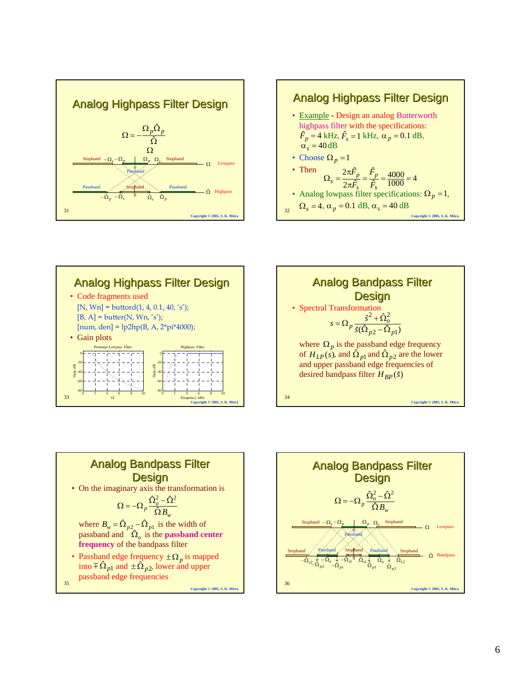







#### **Analog Bandpass Filter Design**

• On the imaginary axis the transformation is

$$
\Omega = -\Omega_p \frac{\hat{\Omega}_o^2 - \hat{\Omega}^2}{\hat{\Omega} B_w}
$$

where  $B_w = \hat{\Omega}_{p2} - \hat{\Omega}_{p1}$  is the width of passband and  $\hat{\Omega}_o$  is the **passband center frequency** of the bandpass filter

**Copyright © 2005, S. K. Mitra**

• Passband edge frequency  $\pm \Omega_p$  is mapped into  $\pm \hat{\Omega}_{p1}$  and  $\pm \hat{\Omega}_{p2}$ , lower and upper passband edge frequencies

35

36 **Copyright © 2005, S. K. Mitra Analog Bandpass Filter Design**  $\Omega = -\Omega_p \frac{\hat{\Omega}_o^2 - \hat{\Omega}^2}{\hat{\Omega} B_w}$  $\frac{\downarrow}{\hat{\mathbf{\Omega}}_{p1}} - \hat{\mathbf{\Omega}}_{s1}^{-1} \frac{\hat{\mathbf{\Omega}}_{s1}}{\hat{\mathbf{\Omega}}_{p1}} \hat{\mathbf{\Omega}}_{p1}^{-1}$ Bandpass Passband Stopband Passband <sup>Ω</sup><sup>ˆ</sup> Stopband Stopband <sup>0</sup> <sup>2</sup> <sup>ˆ</sup>Ω*<sup>s</sup>* <sup>2</sup> <sup>ˆ</sup> −Ω*<sup>p</sup>* <sup>1</sup> <sup>ˆ</sup>Ω*<sup>p</sup>* <sup>2</sup> <sup>ˆ</sup>Ω*<sup>p</sup>* <sup>−</sup> <sup>Ω</sup>*<sup>o</sup>* <sup>↓</sup> <sup>ˆ</sup> <sup>↓</sup> <sup>↓</sup> <sup>↓</sup> <sup>2</sup> <sup>ˆ</sup> −Ω*<sup>s</sup>* $-\Omega_p - \Omega_p - \Omega_p - \Omega_s$  Stopband<br>  $\Omega$  Lowpass Passband Stopband  $-\Omega_s - \Omega_p$   $\Omega_p \Omega_s$  Stopband  $\Omega_s$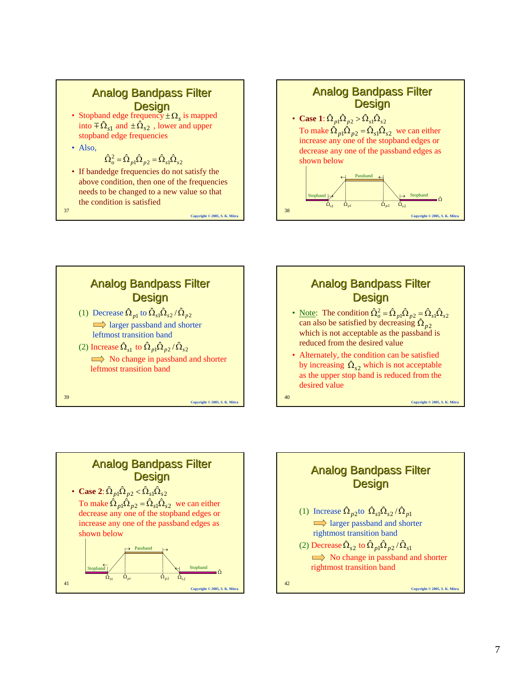# **Analog Bandpass Filter**

- **Design**<br>• Stopband edge frequency  $\pm \Omega_s$  is mapped into  $\pm \hat{\Omega}_{s1}$  and  $\pm \hat{\Omega}_{s2}$ , lower and upper stopband edge frequencies
- Also,

$$
\hat{\Omega}_{o}^{2} = \hat{\Omega}_{p1}\hat{\Omega}_{p2} = \hat{\Omega}_{s1}\hat{\Omega}_{s2}
$$

• If bandedge frequencies do not satisfy the above condition, then one of the frequencies needs to be changed to a new value so that the condition is satisfied

37





**Copyright © 2005, S. K. Mitra**

**Copyright © 2005, S. K. Mitra**

#### **Analog Bandpass Filter Design**

- <u>Note</u>: The condition  $\hat{\Omega}_{o}^{2} = \hat{\Omega}_{p1} \hat{\Omega}_{p2} = \hat{\Omega}_{s1} \hat{\Omega}_{s2}$ can also be satisfied by decreasing  $\hat{\Omega}_{p2}$ which is not acceptable as the passband is reduced from the desired value
- Alternately, the condition can be satisfied by increasing  $\hat{\Omega}_{s2}$  which is not acceptable as the upper stop band is reduced from the desired value

**Copyright © 2005, S. K. Mitra**

41 **Analog Bandpass Filter Design** • **Case** 2:  $\hat{\Omega}_{p1}\hat{\Omega}_{p2} < \hat{\Omega}_{s1}\hat{\Omega}_{s2}$ To make  $\hat{\Omega}_{p1} \hat{\Omega}_{p2} = \hat{\Omega}_{s1} \hat{\Omega}_{s2}$  we can either decrease any one of the stopband edges or increase any one of the passband edges as shown below  $\hat{\Omega}_{p1}$   $\hat{\Omega}_{p1}$   $\hat{\Omega}_{p2}$   $\hat{\Omega}_{s2}$  $\rightarrow$  Passband  $\rightarrow$  $\frac{1}{\sqrt{2}}$  $\hat{\Omega}$ Passband  $\mathsf{Stopband}$   $\setminus$  Stopband

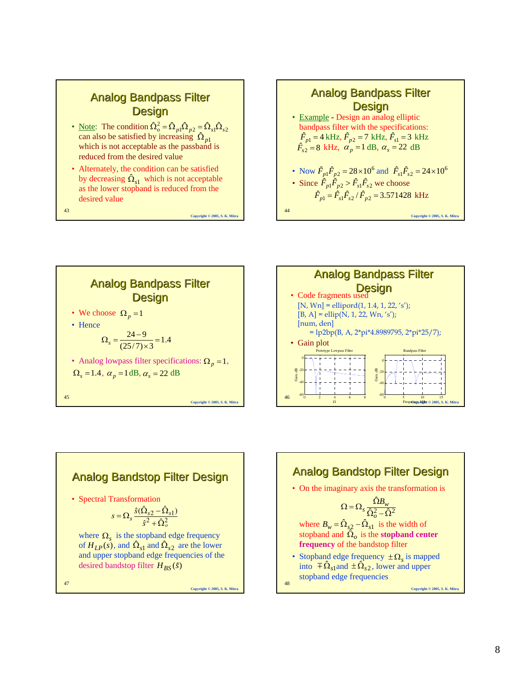### **Analog Bandpass Filter Design**

- <u>Note</u>: The condition  $\hat{\Omega}_o^2 = \hat{\Omega}_{p1} \hat{\Omega}_{p2} = \hat{\Omega}_{s1} \hat{\Omega}_{s2}$ can also be satisfied by increasing  $\hat{\Omega}_{p1}$ which is not acceptable as the passband is reduced from the desired value
- Alternately, the condition can be satisfied by decreasing  $\hat{\Omega}_{s1}$  which is not acceptable as the lower stopband is reduced from the desired value

**Copyright © 2005, S. K. Mitra**

43









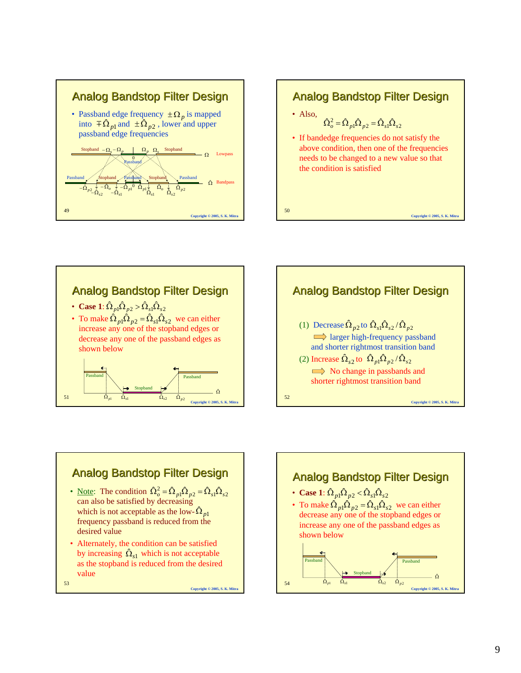

## 50 **Copyright © 2005, S. K. Mitra** Analog Bandstop Filter Design • Also, • If bandedge frequencies do not satisfy the above condition, then one of the frequencies needs to be changed to a new value so that the condition is satisfied  $\hat{\Omega}_{o}^{2} = \hat{\Omega}_{p1} \hat{\Omega}_{p2} = \hat{\Omega}_{s1} \hat{\Omega}_{s2}$





# Analog Bandstop Filter Design

- <u>Note</u>: The condition  $\hat{\Omega}_{o}^{2} = \hat{\Omega}_{p1} \hat{\Omega}_{p2} = \hat{\Omega}_{s1} \hat{\Omega}_{s2}$ can also be satisfied by decreasing which is not acceptable as the low- $\hat{\Omega}_{p1}$ frequency passband is reduced from the desired value
- 53 • Alternately, the condition can be satisfied by increasing  $\hat{\Omega}_{s1}$  which is not acceptable as the stopband is reduced from the desired value

**Copyright © 2005, S. K. Mitra**